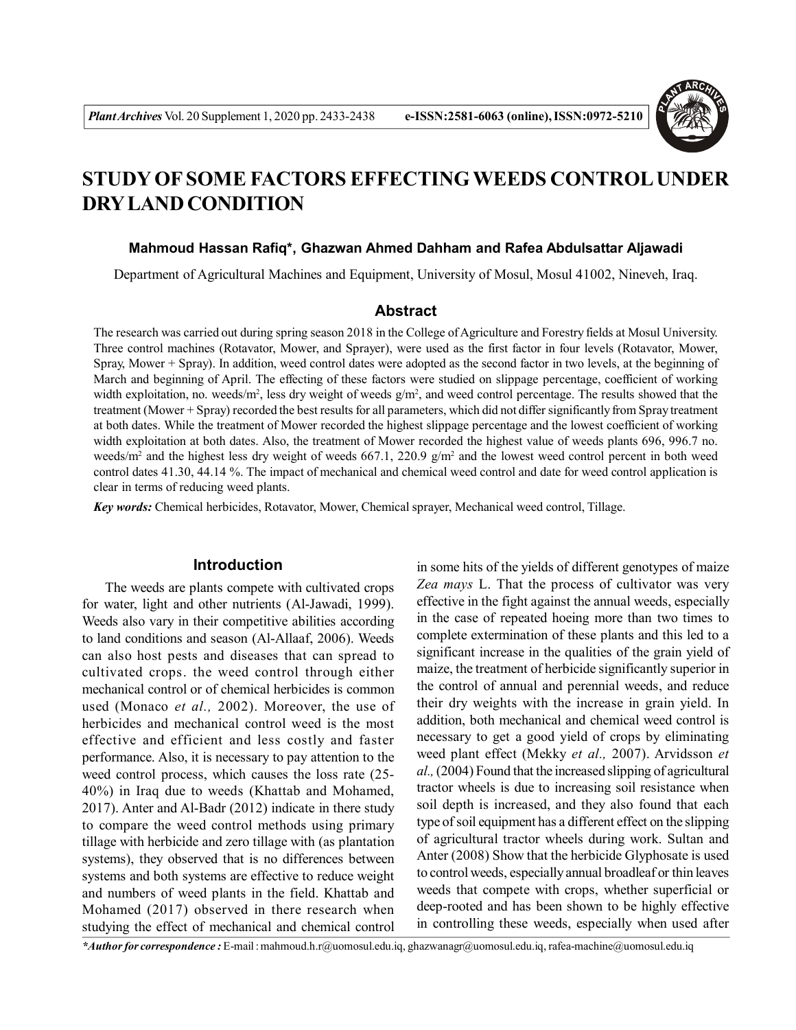

# **STUDY OF SOME FACTORS EFFECTINGWEEDS CONTROL UNDER DRY LAND CONDITION**

#### **Mahmoud Hassan Rafiq\*, Ghazwan Ahmed Dahham and Rafea Abdulsattar Aljawadi**

Department of Agricultural Machines and Equipment, University of Mosul, Mosul 41002, Nineveh, Iraq.

## **Abstract**

The research was carried out during spring season 2018 in the College of Agriculture and Forestry fields at Mosul University. Three control machines (Rotavator, Mower, and Sprayer), were used as the first factor in four levels (Rotavator, Mower, Spray, Mower + Spray). In addition, weed control dates were adopted as the second factor in two levels, at the beginning of March and beginning of April. The effecting of these factors were studied on slippage percentage, coefficient of working width exploitation, no. weeds/ $m^2$ , less dry weight of weeds  $g/m^2$ , and weed control percentage. The results showed that the treatment (Mower + Spray) recorded the best results for all parameters, which did not differ significantly from Spray treatment at both dates. While the treatment of Mower recorded the highest slippage percentage and the lowest coefficient of working width exploitation at both dates. Also, the treatment of Mower recorded the highest value of weeds plants 696, 996.7 no. weeds/ $m^2$  and the highest less dry weight of weeds 667.1, 220.9 g/m<sup>2</sup> and the lowest weed control percent in both weed control dates 41.30, 44.14 %. The impact of mechanical and chemical weed control and date for weed control application is clear in terms of reducing weed plants.

*Key words:* Chemical herbicides, Rotavator, Mower, Chemical sprayer, Mechanical weed control, Tillage.

## **Introduction**

The weeds are plants compete with cultivated crops for water, light and other nutrients (Al-Jawadi, 1999). Weeds also vary in their competitive abilities according to land conditions and season (Al-Allaaf, 2006). Weeds can also host pests and diseases that can spread to cultivated crops. the weed control through either mechanical control or of chemical herbicides is common used (Monaco *et al.,* 2002). Moreover, the use of herbicides and mechanical control weed is the most effective and efficient and less costly and faster performance. Also, it is necessary to pay attention to the weed control process, which causes the loss rate (25- 40%) in Iraq due to weeds (Khattab and Mohamed, 2017). Anter and Al-Badr (2012) indicate in there study to compare the weed control methods using primary tillage with herbicide and zero tillage with (as plantation systems), they observed that is no differences between systems and both systems are effective to reduce weight and numbers of weed plants in the field. Khattab and Mohamed (2017) observed in there research when studying the effect of mechanical and chemical control

in some hits of the yields of different genotypes of maize *Zea mays* L. That the process of cultivator was very effective in the fight against the annual weeds, especially in the case of repeated hoeing more than two times to complete extermination of these plants and this led to a significant increase in the qualities of the grain yield of maize, the treatment of herbicide significantly superior in the control of annual and perennial weeds, and reduce their dry weights with the increase in grain yield. In addition, both mechanical and chemical weed control is necessary to get a good yield of crops by eliminating weed plant effect (Mekky *et al.,* 2007). Arvidsson *et al.,* (2004) Found that the increased slipping of agricultural tractor wheels is due to increasing soil resistance when soil depth is increased, and they also found that each type of soil equipment has a different effect on the slipping of agricultural tractor wheels during work. Sultan and Anter (2008) Show that the herbicide Glyphosate is used to control weeds, especially annual broadleaf or thin leaves weeds that compete with crops, whether superficial or deep-rooted and has been shown to be highly effective in controlling these weeds, especially when used after

*\*Author for correspondence :* E-mail : mahmoud.h.r@uomosul.edu.iq, ghazwanagr@uomosul.edu.iq, rafea-machine@uomosul.edu.iq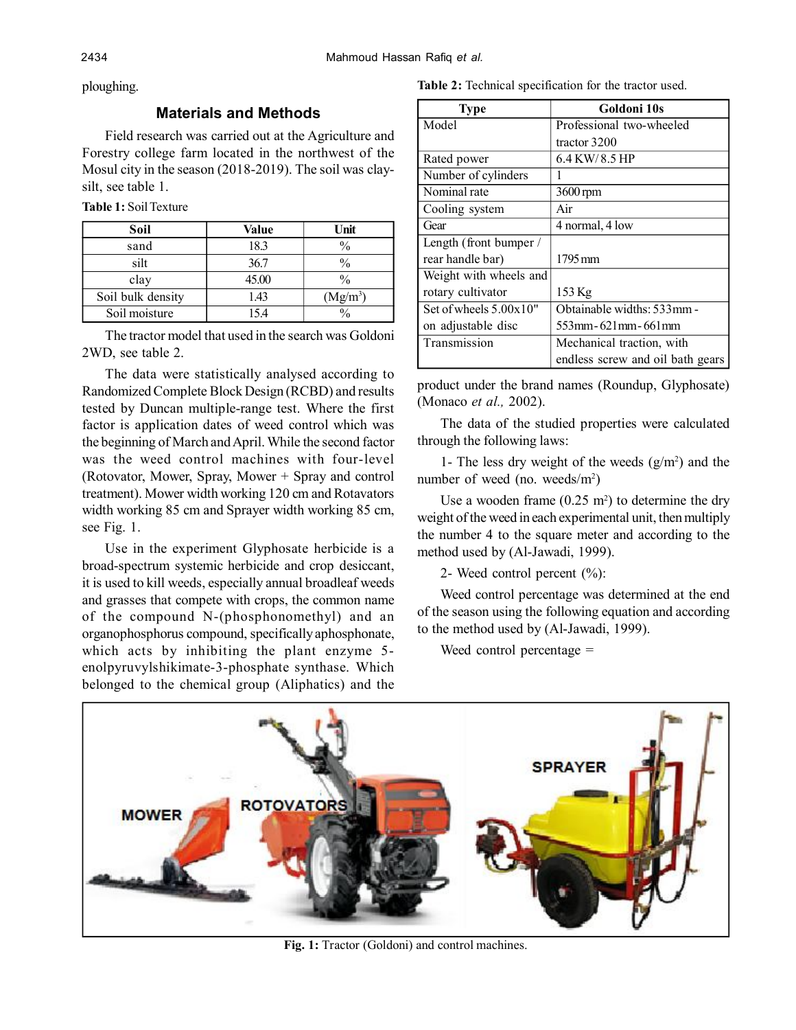ploughing.

## **Materials and Methods**

Field research was carried out at the Agriculture and Forestry college farm located in the northwest of the Mosul city in the season (2018-2019). The soil was claysilt, see table 1.

|  | <b>Table 1: Soil Texture</b> |  |
|--|------------------------------|--|
|--|------------------------------|--|

| Soil              | Value | Unit                 |
|-------------------|-------|----------------------|
| sand              | 18.3  | $\frac{0}{0}$        |
| silt              | 36.7  | $\frac{0}{0}$        |
| clay              | 45.00 | $\frac{0}{0}$        |
| Soil bulk density | 1.43  | (Mg/m <sup>3</sup> ) |
| Soil moisture     | 15.4  | $\frac{0}{0}$        |

The tractor model that used in the search was Goldoni 2WD, see table 2.

The data were statistically analysed according to Randomized Complete Block Design (RCBD) and results tested by Duncan multiple-range test. Where the first factor is application dates of weed control which was the beginning of March and April. While the second factor was the weed control machines with four-level (Rotovator, Mower, Spray, Mower + Spray and control treatment). Mower width working 120 cm and Rotavators width working 85 cm and Sprayer width working 85 cm, see Fig. 1.

Use in the experiment Glyphosate herbicide is a broad-spectrum systemic herbicide and crop desiccant, it is used to kill weeds, especially annual broadleaf weeds and grasses that compete with crops, the common name of the compound N-(phosphonomethyl) and an organophosphorus compound, specifically aphosphonate, which acts by inhibiting the plant enzyme 5 enolpyruvylshikimate-3-phosphate synthase. Which belonged to the chemical group (Aliphatics) and the

**Table 2:** Technical specification for the tractor used.

| <b>Type</b>              | Goldoni 10s                      |
|--------------------------|----------------------------------|
| Model                    | Professional two-wheeled         |
|                          | tractor 3200                     |
| Rated power              | $6.4$ KW/ $8.5$ HP               |
| Number of cylinders      |                                  |
| Nominal rate             | 3600 rpm                         |
| Cooling system           | Air                              |
| Gear                     | 4 normal, 4 low                  |
| Length (front bumper /   |                                  |
| rear handle bar)         | 1795 mm                          |
| Weight with wheels and   |                                  |
| rotary cultivator        | 153 Kg                           |
| Set of wheels $5.00x10"$ | Obtainable widths: 533mm -       |
| on adjustable disc       | 553mm- 621mm- 661mm              |
| Transmission             | Mechanical traction, with        |
|                          | endless screw and oil bath gears |

product under the brand names (Roundup, Glyphosate) (Monaco *et al.,* 2002).

The data of the studied properties were calculated through the following laws:

1- The less dry weight of the weeds  $(g/m<sup>2</sup>)$  and the number of weed (no. weeds/m<sup>2</sup>)

Use a wooden frame  $(0.25 \text{ m}^2)$  to determine the dry weight of the weed in each experimental unit, then multiply the number 4 to the square meter and according to the method used by (Al-Jawadi, 1999).

2- Weed control percent (%):

Weed control percentage was determined at the end of the season using the following equation and according to the method used by (Al-Jawadi, 1999).

Weed control percentage =



**Fig. 1:** Tractor (Goldoni) and control machines.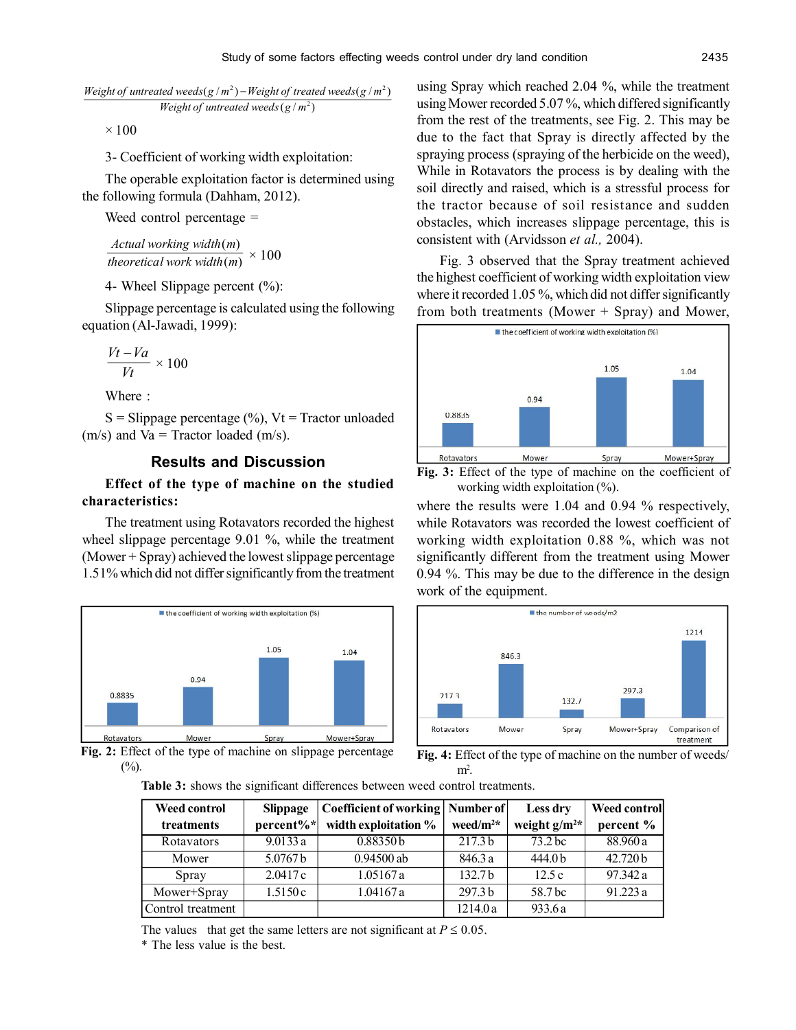*Weight of untreated weeds*  $(g/m^2)$ *Weight of untreated weeds*( $g/m^2$ ) – *Weight of treated weeds*( $g/m^2$ )

 $\times$  100

3- Coefficient of working width exploitation:

The operable exploitation factor is determined using the following formula (Dahham, 2012).

Weed control percentage =

 $(m)$  $(m)$ *theoretical work width m Actual working width m*  $\times$  100

4- Wheel Slippage percent (%):

Slippage percentage is calculated using the following equation (Al-Jawadi, 1999):

$$
\frac{Vt-Va}{Vt}\times 100
$$

Where  $\cdot$ 

 $S =$ Slippage percentage  $(\%)$ , Vt = Tractor unloaded  $(m/s)$  and Va = Tractor loaded  $(m/s)$ .

### **Results and Discussion**

## **Effect of the type of machine on the studied characteristics:**

The treatment using Rotavators recorded the highest wheel slippage percentage 9.01 %, while the treatment (Mower + Spray) achieved the lowest slippage percentage 1.51% which did not differ significantly from the treatment



**Fig. 2:** Effect of the type of machine on slippage percentage  $(\%).$ 

using Spray which reached 2.04 %, while the treatment using Mower recorded 5.07 %, which differed significantly from the rest of the treatments, see Fig. 2. This may be due to the fact that Spray is directly affected by the spraying process (spraying of the herbicide on the weed), While in Rotavators the process is by dealing with the soil directly and raised, which is a stressful process for the tractor because of soil resistance and sudden obstacles, which increases slippage percentage, this is consistent with (Arvidsson *et al.,* 2004).

Fig. 3 observed that the Spray treatment achieved the highest coefficient of working width exploitation view where it recorded 1.05 %, which did not differ significantly from both treatments (Mower + Spray) and Mower,



**Fig. 3:** Effect of the type of machine on the coefficient of working width exploitation  $(\% )$ .

where the results were 1.04 and 0.94 % respectively, while Rotavators was recorded the lowest coefficient of working width exploitation 0.88 %, which was not significantly different from the treatment using Mower 0.94 %. This may be due to the difference in the design work of the equipment.





**Table 3:** shows the significant differences between weed control treatments.

| Weed control      | <b>Slippage</b> | Coefficient of working   Number of |                    | Less dry          | Weed control |
|-------------------|-----------------|------------------------------------|--------------------|-------------------|--------------|
| treatments        | $percent\%*$    | width exploitation %               | weed/ $m^{2*}$     | weight $g/m^{2*}$ | percent %    |
| Rotavators        | 9.0133a         | 0.88350 <sub>b</sub>               | 217.3 <sub>b</sub> | $73.2$ bc         | 88.960 a     |
| Mower             | 5.0767 b        | $0.94500$ ab                       | 846.3 a            | 444.0b            | 42.720 b     |
| Spray             | 2.0417c         | 1.05167a                           | 132.7 <sub>b</sub> | 12.5c             | 97.342 a     |
| Mower+Spray       | 1.5150c         | 1.04167a                           | 297.3 <sub>b</sub> | 58.7 bc           | 91.223 a     |
| Control treatment |                 |                                    | 1214.0a            | 933.6a            |              |

The values that get the same letters are not significant at  $P \le 0.05$ .

\* The less value is the best.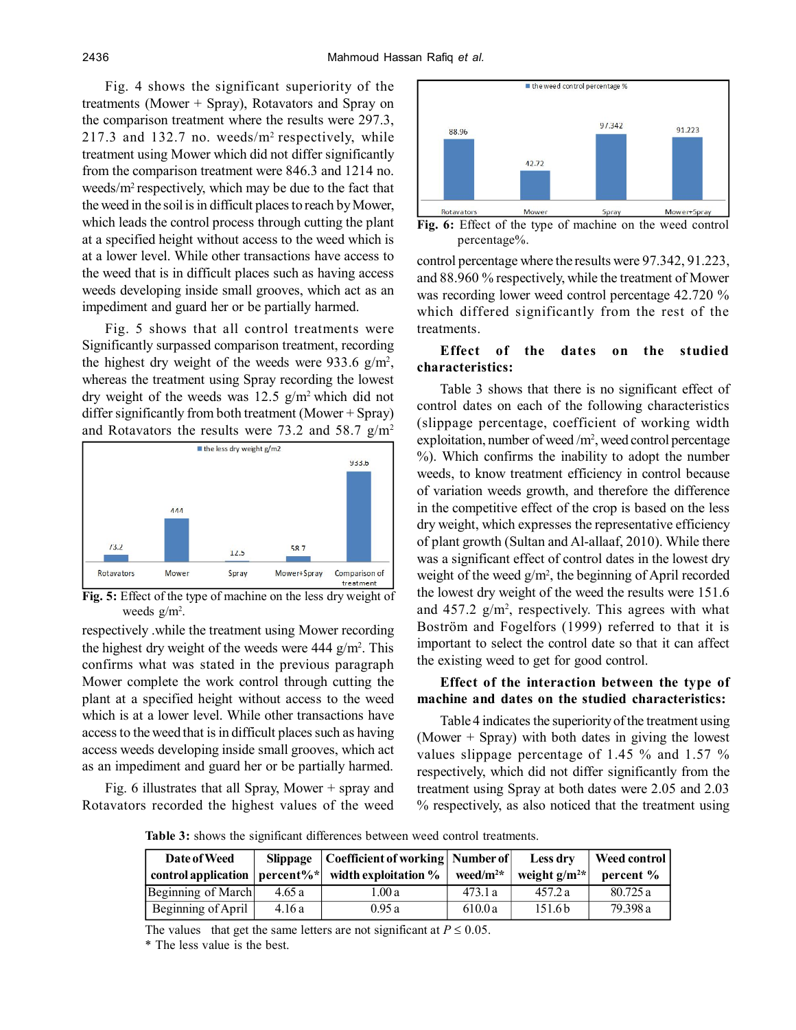Fig. 4 shows the significant superiority of the treatments (Mower + Spray), Rotavators and Spray on the comparison treatment where the results were 297.3,  $217.3$  and  $132.7$  no. weeds/m<sup>2</sup> respectively, while treatment using Mower which did not differ significantly from the comparison treatment were 846.3 and 1214 no. weeds/ $m^2$  respectively, which may be due to the fact that the weed in the soil is in difficult places to reach by Mower, which leads the control process through cutting the plant at a specified height without access to the weed which is at a lower level. While other transactions have access to the weed that is in difficult places such as having access weeds developing inside small grooves, which act as an impediment and guard her or be partially harmed.

Fig. 5 shows that all control treatments were Significantly surpassed comparison treatment, recording the highest dry weight of the weeds were  $933.6 \text{ g/m}^2$ , whereas the treatment using Spray recording the lowest dry weight of the weeds was  $12.5$  g/m<sup>2</sup> which did not differ significantly from both treatment (Mower + Spray) and Rotavators the results were 73.2 and 58.7  $g/m<sup>2</sup>$ 



**Fig. 5:** Effect of the type of machine on the less dry weight of weeds g/m<sup>2</sup>.

respectively .while the treatment using Mower recording the highest dry weight of the weeds were  $444$  g/m<sup>2</sup>. This confirms what was stated in the previous paragraph Mower complete the work control through cutting the plant at a specified height without access to the weed which is at a lower level. While other transactions have access to the weed that is in difficult places such as having access weeds developing inside small grooves, which act as an impediment and guard her or be partially harmed.

Fig. 6 illustrates that all Spray, Mower + spray and Rotavators recorded the highest values of the weed



**Fig. 6:** Effect of the type of machine on the weed control percentage%.

control percentage where the results were 97.342, 91.223, and 88.960 % respectively, while the treatment of Mower was recording lower weed control percentage 42.720 % which differed significantly from the rest of the treatments.

## **Effect of the dates on the studied characteristics:**

Table 3 shows that there is no significant effect of control dates on each of the following characteristics (slippage percentage, coefficient of working width exploitation, number of weed /m<sup>2</sup>, weed control percentage %). Which confirms the inability to adopt the number weeds, to know treatment efficiency in control because of variation weeds growth, and therefore the difference in the competitive effect of the crop is based on the less dry weight, which expresses the representative efficiency of plant growth (Sultan and Al-allaaf, 2010). While there was a significant effect of control dates in the lowest dry weight of the weed  $g/m^2$ , the beginning of April recorded the lowest dry weight of the weed the results were 151.6 and  $457.2$  g/m<sup>2</sup>, respectively. This agrees with what Boström and Fogelfors (1999) referred to that it is important to select the control date so that it can affect the existing weed to get for good control.

### **Effect of the interaction between the type of machine and dates on the studied characteristics:**

Table 4 indicates the superiority of the treatment using (Mower + Spray) with both dates in giving the lowest values slippage percentage of 1.45 % and 1.57 % respectively, which did not differ significantly from the treatment using Spray at both dates were 2.05 and 2.03 % respectively, as also noticed that the treatment using

**Table 3:** shows the significant differences between weed control treatments.

| Date of Weed<br>control application | Slippage | Coefficient of working   Number of   <br>$percent\%^*$ width exploitation % | weed/ $m^{2*}$ | Less dry<br>weight $g/m^{2*}$ | <b>Weed control</b><br>$percent$ % |
|-------------------------------------|----------|-----------------------------------------------------------------------------|----------------|-------------------------------|------------------------------------|
| Beginning of March                  | 4.65a    | l .00 a                                                                     | 473.1 a        | 457.2a                        | 80.725 a                           |
| Beginning of April                  | 4.16a    | 0.95a                                                                       | 610.0a         | 151.6 <sub>b</sub>            | 79.398 a                           |

The values that get the same letters are not significant at  $P \le 0.05$ .

\* The less value is the best.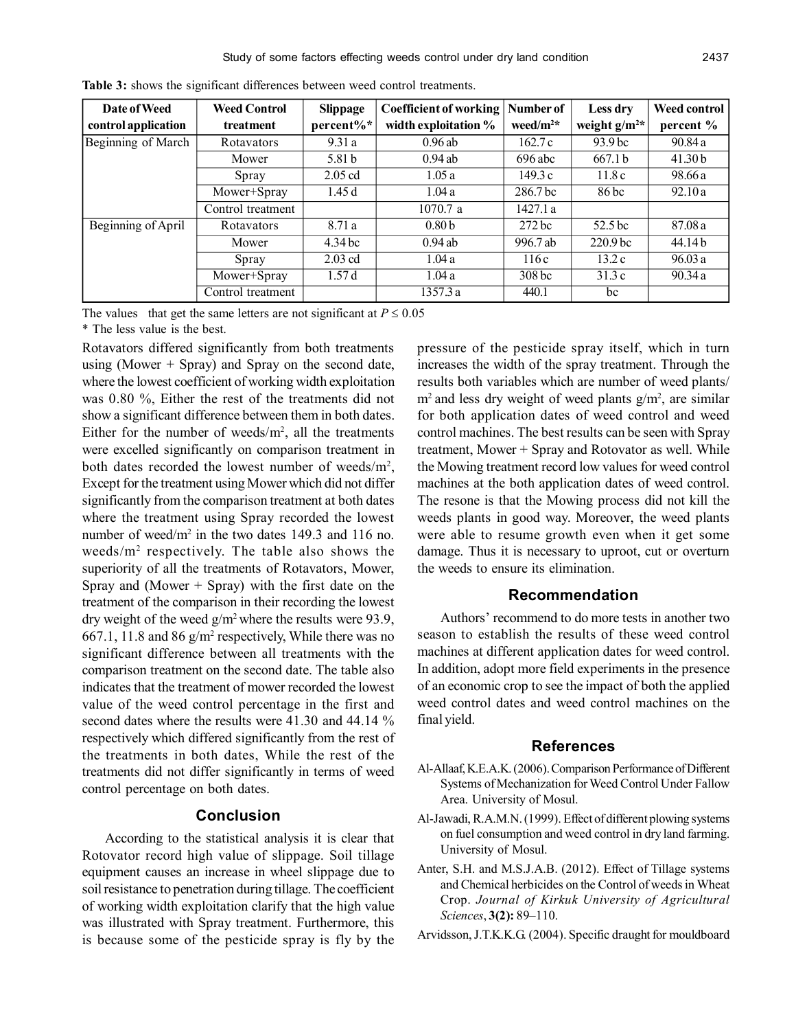| Date of Weed        | <b>Weed Control</b> | <b>Slippage</b>   | <b>Coefficient of working</b> | Number of           | Less dry            | <b>Weed control</b> |
|---------------------|---------------------|-------------------|-------------------------------|---------------------|---------------------|---------------------|
| control application | treatment           | percent%*         | width exploitation %          | weed/ $m^2$ *       | weight $g/m^{2*}$   | percent %           |
| Beginning of March  | Rotavators          | 9.31a             | 0.96ab                        | 162.7c              | 93.9 <sub>bc</sub>  | 90.84a              |
|                     | Mower               | 5.81 <sub>b</sub> | $0.94$ ab                     | $696$ abc           | 667.1 <sub>b</sub>  | 41.30 <sub>b</sub>  |
|                     | Spray               | $2.05$ cd         | 1.05a                         | 149.3c              | 11.8c               | 98.66 a             |
|                     | Mower+Spray         | 1.45d             | 1.04a                         | 286.7 <sub>bc</sub> | 86 bc               | 92.10a              |
|                     | Control treatment   |                   | 1070.7 a                      | 1427.1 a            |                     |                     |
| Beginning of April  | Rotavators          | 8.71 a            | 0.80 <sub>b</sub>             | $272$ bc            | 52.5 bc             | 87.08 a             |
|                     | Mower               | 4.34 bc           | $0.94$ ab                     | 996.7 ab            | 220.9 <sub>bc</sub> | 44.14 b             |
|                     | Spray               | $2.03$ cd         | 1.04a                         | 116c                | 13.2c               | 96.03a              |
|                     | Mower+Spray         | 1.57d             | 1.04 a                        | 308 <sub>bc</sub>   | 31.3c               | 90.34a              |
|                     | Control treatment   |                   | 1357.3 a                      | 440.1               | bc                  |                     |

**Table 3:** shows the significant differences between weed control treatments.

The values that get the same letters are not significant at  $P \le 0.05$ 

\* The less value is the best.

Rotavators differed significantly from both treatments using (Mower  $+$  Spray) and Spray on the second date, where the lowest coefficient of working width exploitation was 0.80 %, Either the rest of the treatments did not show a significant difference between them in both dates. Either for the number of weeds/ $m<sup>2</sup>$ , all the treatments were excelled significantly on comparison treatment in both dates recorded the lowest number of weeds/m<sup>2</sup>, Except for the treatment using Mower which did not differ significantly from the comparison treatment at both dates where the treatment using Spray recorded the lowest number of weed/ $m^2$  in the two dates 149.3 and 116 no. weeds/m<sup>2</sup> respectively. The table also shows the superiority of all the treatments of Rotavators, Mower, Spray and (Mower  $+$  Spray) with the first date on the treatment of the comparison in their recording the lowest dry weight of the weed  $g/m^2$  where the results were 93.9, 667.1, 11.8 and 86  $g/m^2$  respectively, While there was no significant difference between all treatments with the comparison treatment on the second date. The table also indicates that the treatment of mower recorded the lowest value of the weed control percentage in the first and second dates where the results were 41.30 and 44.14 % respectively which differed significantly from the rest of the treatments in both dates, While the rest of the treatments did not differ significantly in terms of weed control percentage on both dates.

#### **Conclusion**

According to the statistical analysis it is clear that Rotovator record high value of slippage. Soil tillage equipment causes an increase in wheel slippage due to soil resistance to penetration during tillage. The coefficient of working width exploitation clarify that the high value was illustrated with Spray treatment. Furthermore, this is because some of the pesticide spray is fly by the

pressure of the pesticide spray itself, which in turn increases the width of the spray treatment. Through the results both variables which are number of weed plants/  $m<sup>2</sup>$  and less dry weight of weed plants  $g/m<sup>2</sup>$ , are similar for both application dates of weed control and weed control machines. The best results can be seen with Spray treatment, Mower + Spray and Rotovator as well. While the Mowing treatment record low values for weed control machines at the both application dates of weed control. The resone is that the Mowing process did not kill the weeds plants in good way. Moreover, the weed plants were able to resume growth even when it get some damage. Thus it is necessary to uproot, cut or overturn the weeds to ensure its elimination.

#### **Recommendation**

Authors' recommend to do more tests in another two season to establish the results of these weed control machines at different application dates for weed control. In addition, adopt more field experiments in the presence of an economic crop to see the impact of both the applied weed control dates and weed control machines on the final yield.

#### **References**

- Al-Allaaf, K.E.A.K. (2006). Comparison Performance of Different Systems of Mechanization for Weed Control Under Fallow Area. University of Mosul.
- Al-Jawadi, R.A.M.N. (1999). Effect of different plowing systems on fuel consumption and weed control in dry land farming. University of Mosul.
- Anter, S.H. and M.S.J.A.B. (2012). Effect of Tillage systems and Chemical herbicides on the Control of weeds in Wheat Crop. *Journal of Kirkuk University of Agricultural Sciences*, **3(2):** 89–110.
- Arvidsson, J.T.K.K.G. (2004). Specific draught for mouldboard